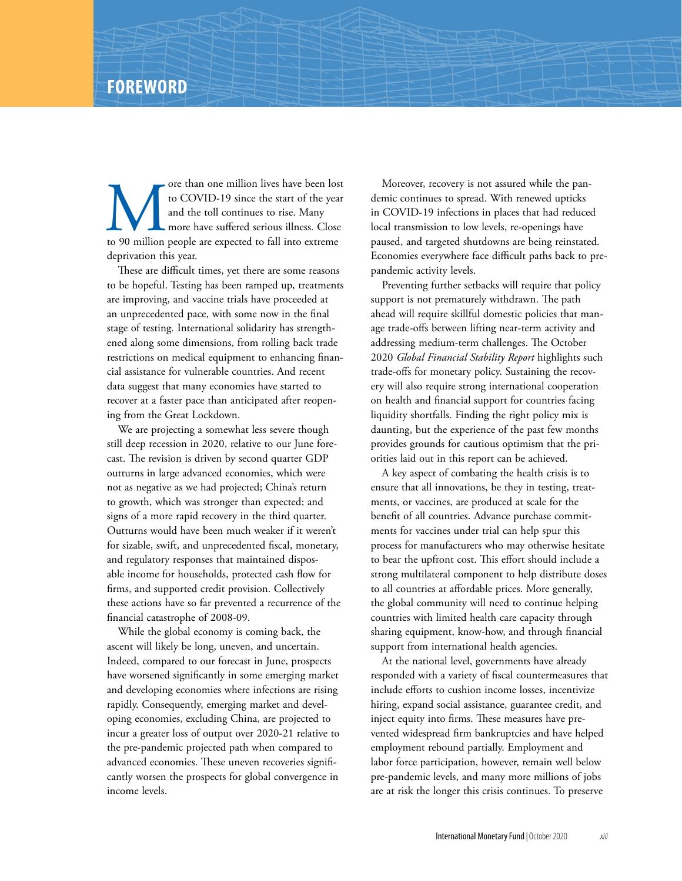The US and the toll continues to rise. Many and the toll continues to rise. Many more have suffered serious illness. Close to 90 million people are expected to fall into extreme to COVID-19 since the start of the year and the toll continues to rise. Many more have suffered serious illness. Close deprivation this year.

These are difficult times, yet there are some reasons to be hopeful. Testing has been ramped up, treatments are improving, and vaccine trials have proceeded at an unprecedented pace, with some now in the final stage of testing. International solidarity has strengthened along some dimensions, from rolling back trade restrictions on medical equipment to enhancing financial assistance for vulnerable countries. And recent data suggest that many economies have started to recover at a faster pace than anticipated after reopening from the Great Lockdown.

We are projecting a somewhat less severe though still deep recession in 2020, relative to our June forecast. The revision is driven by second quarter GDP outturns in large advanced economies, which were not as negative as we had projected; China's return to growth, which was stronger than expected; and signs of a more rapid recovery in the third quarter. Outturns would have been much weaker if it weren't for sizable, swift, and unprecedented fiscal, monetary, and regulatory responses that maintained disposable income for households, protected cash flow for firms, and supported credit provision. Collectively these actions have so far prevented a recurrence of the financial catastrophe of 2008-09.

While the global economy is coming back, the ascent will likely be long, uneven, and uncertain. Indeed, compared to our forecast in June, prospects have worsened significantly in some emerging market and developing economies where infections are rising rapidly. Consequently, emerging market and developing economies, excluding China, are projected to incur a greater loss of output over 2020-21 relative to the pre-pandemic projected path when compared to advanced economies. These uneven recoveries significantly worsen the prospects for global convergence in income levels.

Moreover, recovery is not assured while the pandemic continues to spread. With renewed upticks in COVID-19 infections in places that had reduced local transmission to low levels, re-openings have paused, and targeted shutdowns are being reinstated. Economies everywhere face difficult paths back to prepandemic activity levels.

Preventing further setbacks will require that policy support is not prematurely withdrawn. The path ahead will require skillful domestic policies that manage trade-offs between lifting near-term activity and addressing medium-term challenges. The October 2020 *Global Financial Stability Report* highlights such trade-offs for monetary policy. Sustaining the recovery will also require strong international cooperation on health and financial support for countries facing liquidity shortfalls. Finding the right policy mix is daunting, but the experience of the past few months provides grounds for cautious optimism that the priorities laid out in this report can be achieved.

A key aspect of combating the health crisis is to ensure that all innovations, be they in testing, treatments, or vaccines, are produced at scale for the benefit of all countries. Advance purchase commitments for vaccines under trial can help spur this process for manufacturers who may otherwise hesitate to bear the upfront cost. This effort should include a strong multilateral component to help distribute doses to all countries at affordable prices. More generally, the global community will need to continue helping countries with limited health care capacity through sharing equipment, know-how, and through financial support from international health agencies.

At the national level, governments have already responded with a variety of fiscal countermeasures that include efforts to cushion income losses, incentivize hiring, expand social assistance, guarantee credit, and inject equity into firms. These measures have prevented widespread firm bankruptcies and have helped employment rebound partially. Employment and labor force participation, however, remain well below pre-pandemic levels, and many more millions of jobs are at risk the longer this crisis continues. To preserve